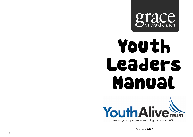

# Youth Leaders Manual



*February 2013*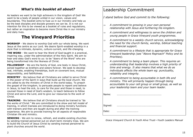#### *What's this booklet all about?*

As leaders we want to be high achievers in the kingdom of God! We want to be a body of people united in our vision, values and boundaries. This booklet aims to fuse us in our ministry and help us be the best disciples and disciple growers we can be. It is not our intention for this to be viewed as a booklet of rules and regulations, but rather an inspiration to become more Christ-like in our ministry and daily lives.

## **The Vineyard Priorities**

**WORSHIP** - We desire to worship God with our whole being. We want Jesus at the centre as our Lord. We desire Spirit-enabled worship in a style that is intimate, dynamic, culture-current, and life-changing.

**THE WORD** - We want to hear the Word of God taught in a practical, inspiring way, under the administration of the Holy Spirit. We aim to hear and obey God's word to us: to be "doers of the Word" who are being transformed into the likeness of Christ.

**FELLOWSHIP** - We are the family of God, one body in Jesus Christ, joined together as brothers and sisters forever. We seek to develop real, intimate, enabling friendships, built on covenant love, mutual responsibility, and faithfulness.

**MINISTRY** - We believe that all Christians are called to serve Christ in the power of His Spirit in ways that build up the local church. We are called to do the ministry of Christ in the world today. To preach the gospel of the kingdom, to persuade people to repent and believe in Jesus, to heal the sick, to care for the poor and those in need, to counsel those in need of God's wisdom, to teach believers to follow Christ and serve the Lord, and to give our resources to the work of Christ.

**TRAINING** - We believe that all Christians should be trained to "do the works of Christ." We are committed to the show and tell model of training, in which trainees are introduced to doing ministry functions with trainers and then are taught during and after the training experience. We aim to provide training for all aspects of responsible Christian life and ministry.

**SENDING** - We aim to renew, refresh, and enable existing churches by sending trained personnel out on short-term ministry trips. We aim to build the Church of Jesus Christ by sending trained personnel to plant churches around the world.

## Leadership Commitment

*I stand before God and commit to the following:*

- *A commitment to growing in your own personal relationship with Jesus and furthering His kingdom.*
- *A commitment and willingness to serve the children and young people in Grace Vineyard youth programmes.*
- *A commitment to a weekly church service, acknowledging the need for the church family, worship, biblical teaching and financial support.*
- *A commitment to a lifestyle that is appropriate for Grace Vineyard leadership (see "Above Reproach" Policy and its Priorities).*
- *A commitment to being a team player. This requires an understanding that leadership involves a high priority of time and energy. It also means that what we do as individuals affects the whole team eg: punctuality, reliability and integrity.*
- *A commitment to being accountable in both life and ministry. This will primarily happen through being accountable to your cell group or small group, as well as your leadership team and your team leader.*

| Name:   |  |
|---------|--|
| Signed: |  |
| Date:   |  |

*Grace Vineyard Church & Youth Alive Trust—Youth Leaders Manual*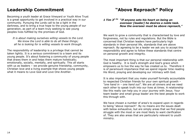## **Leadership Commitment**

Becoming a youth leader at Grace Vineyard or Youth Alive Trust is a great opportunity to get involved in a practical way in our community. Pursuing the Lords call to be a light in the darkness, and to bring a true hope to the young people of our generation, as part of a team truly seeking to see young peoples lives fulfilled by the promises of God.

*It is about making ourselves willing vessels to the Lord. We know the Lord is able to do all these things; all he is looking for is willing vessels to work through.*

The responsibility of leadership is a privilege that cannot be taken lightly. It is a serious commitment to a team and its young people. It's about fostering a community of young people that draws them in and helps them mature holistically; emotionally, socially, mentally, and spiritually. This all starts with us as leaders – we provide genuine friendship, community, Christian love and a living example that shows young people what it means to Love God and Love One Another.

## **"Above Reproach" Policy**

#### *1 Tim 31-2a "If anyone sets his heart on being an overseer [leader] he desires a noble task. Now the overseer must be above reproach,"*

We want to grow a community that is characterised by love and forgiveness, not by rules and regulations. But the Bible is concerned that Christian leaders have particularly high standards in their personal life, standards that are above reproach. By agreeing to be a leader we ask you to accept this responsibility and agree to follow these standards that centre on personal growth and integrity.

The most important thing is that our personal relationship with God is healthy. It is God's strength and God's grace which empowers us to live the way he has created us to. Therefore it is of paramount importance that we spend regular time reading His Word, praying and developing our intimacy with God.

It is also important that you make yourself formally accountable to respected Christian friends for your own spiritual growth – *"one hand in – one hand out"*. We are all sinners and we need each other to speak truth into our lives at times. A relationship like this really can help you in your journey with Jesus. Your team leader and small group leader are the best people to work this through with.

We have chosen a number of area's to expand upon in regards to being "above reproach". By no means are the issues dealt with below exhaustive, but are simply areas that we find people struggle with the most or are most likely to want clarification of. They are also areas that are particularly relevant to youth ministry.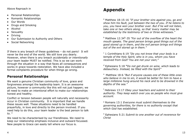- Personal Relationships
- Romantic Relationships
- Our Words
- Drugs and Smoking
- Alcohol
- Sexuality
- Driving
- Our Submission to Authority and Others
- Social Networking

If there is any breach of these guidelines – do not panic! It will never be the end of the world. We still love you dearly. However, when there is any breach *accidentally or intentionally* your team leader MUST be notified. This is so we can work through the situation in a way that faces all consequences and works in grace towards restoration. We have also included a formal complaints procedure for when things go wrong.

#### **Personal Relationships**

We want a genuine Christian community of love, grace and forgiveness amongst the leadership team. It is an awesome picture, however a community like this will not just happen; we all need to make an intentional effort to make our relationships honest and healthy.

Conflict or tension between people will naturally and necessarily occur in Christian community. It is important that we handle these issues well. These situations need to be handled prayerfully, in love and directly to the person involved. If you need help to do this, your team leader is the best person to talk to. <sup>a</sup>

We need to be characterised by our friendliness. We need to keep our relationship emphasis inclusive and outward focussed. New people to Grace can easily tell where our focus is.

# **Appendix**

<sup>a</sup> Matthew 18:15-16 *"If your brother sins against you, go and show him his fault, just between the two of you. If he listens to you, you have won your brother over. But if he will not listen, take one or two others along, so that 'every matter may be established by the testimony of two or three witnesses."*

<sup>b</sup> Matthew 12:34<sup>b</sup>-35 "For out of the overflow of the heart the *mouth speaks. The good person brings good things out of the good stored up in them, and the evil person brings evil things out of the evil stored up in them."*

<sup>c</sup> 1 Corinthians 6:19 *"Do you not know that your body is a temple of the Holy Spirit, who is in you, whom you have received from God? You are not your own;"*

<sup>d</sup> [Ephesians 5:18](http://www.biblegateway.com/passage/?book_id=56&chapter=5&verse=18&version=31&context=verse) *"Do not get drunk on wine, which leads to debauchery. Instead, be filled with the Spirit"*

<sup>e</sup> Matthew 18:6 "But if anyone causes one of these little ones *who believe in me to sin, it would be better for him to have a large millstone hung around his neck and to be drowned in the depths of the sea."*

<sup>f</sup> Hebrews 13:17 *Obey your teachers and submit to their authority. They keep watch over you as people who must give account.*

<sup>g</sup> Romans 13:1 *Everyone must submit themselves to the governing authorities, for there is no authority except that which God has established.*

*<sup>h</sup>* Ephesians 5:21 *Submit to one another out of reverence for Christ*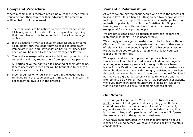#### **Complaint Procedure**

Where a complaint is received regarding a leader, either from a young person, their family or their advocate, the procedure outlined below will be followed.

- 1. The complaint is to be notified to their team leader within 24 hours, sooner if possible. If the complaint is regarding their team leader, it is to be notified to their line manager or Pastor.
- 2. If the allegation involves sexual or physical abuse or some illegal behaviour, the leader may be asked to step down immediately until a full investigation has taken place. This decision will be made by the senior manager or Pastor.
- 3. The senior manager will conduct a full investigation into the complaint and may request help from appropriate parties.
- 4. All parties have the right to a fair hearing of their viewpoint. Where necessary, a mediator will be brought in to ensure a fair discussion takes place.
- 5. Proof of admission of guilt may result in the leader being removed from the leadership team. In severe instances, the police may be involved in the process.

#### **Romantic Relationships**

At Grace we are excited about people who are in the process of falling in love. It is a beautiful thing to see two people who are making each other happy. This, as much as anything else, is a fantastic opportunity to display the Christian life. Simply treating each other with the utmost respect can seem exceptional for many young people.

We are not excited about relationships between leaders and high school students. This is unacceptable.

We strongly encourage our leaders not to be involved with non-Christians. It has been our experience that most of these sorts of relationships have ended in grief. If this becomes an issue, we would urge you to talk it through with at least your team leader and mentor first.

We expect leaders to set appropriate physical boundaries. Leaders should not be involved in sex outside of marriage or anything even close – please talk through with your team leader for clarification. We do not recommend that leaders stay the night alone in a house with their girl/boyfriend – think how this could be viewed by others. Chaperones sound old fashioned but they are a great idea when it comes to holidays and the like. Simply, be aware of how others may perceive your actions, while you may know nothing untoward is going on, we don't want to put ourselves or our leadership witness at risk.

#### **Our Words**

This is of great importance. We must strive to speak with purity, so as not to degrade God or anything good He has created. Work to create an emotionally-safe environment, e.g. make sure humour is constructive, not destructive; it is important to laugh *with* people, not *at* them; avoid "in" jokes that exclude part of the group, or put-downs.  $<sup>b</sup>$ </sup>

If we have been entrusted with personal information about a leader or a young person, we have a responsibility to maintain confidentiality.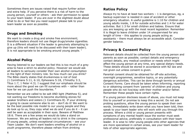Sometimes there are issues raised that require further action and extra help. If you perceive there is a risk of harm to the young person, yourself or others - ask their permission to speak to your team leader. If you are ever in the slightest doubt about what to do or feel like you need support please talk to your team leader as soon as possible.

#### **Drugs and Smoking**

We want to create a drug and smoke free environment; therefore leaders should not use illegal drugs/smoke cigarettes. It is a different situation if the leader is genuinely attempting to give up (this will need to be discussed with their team leader). It is not appropriate to be smoking around young people.  $\circ$ 

### **Alcohol Policy**

Having listened to our leaders we feel this is too much of a grey area to have a strict no alcohol policy. However we would ask all leaders to seriously consider their own alcohol consumption in the light of their ministry role. So how much can you drink? The Bible clearly states that drunkenness is not of God (1 Corinthians 5:11, 6:10, Ephesians 5:18, 1Timothy 3:3, Titus 1:7, 1 Peter 4:3). I suggest that our emphasis should be more about the good we can fill ourselves with – rather than how far we can push the boundaries. d

Remember we are called to be salt AND light (Matthew 5), and not wanting our freedoms to become stumbling stones for weaker brothers and sisters (1 Corinthians 8). If your drinking is going to cause someone else to sin – don't do it! We want to be the best possible role model to our young people and they do look up to us, they copy what we do and if you do it  $-$  it can well be seen as acceptable in their eyes. Beware of Matthew 18:6. There are a few areas we would do take a stand on however. We are asking all leaders not to drink in the company of young people, unless exceptional circumstances – see your Team Leader. We don't want leaders smelling of alcohol on a youth programme, therefore please refrain from drinking

#### **Ratios Policy**

Always try to have at least two workers – 1 is dangerous, eg, a backup supervisor is needed in case of accident or other emergency situation. A useful guideline is 1:10 for children and young adults inside, 1:8 for outside activities and 1:4 for water activities. But 1:3 for small children and babies. Ensure that you are keeping up with the most recent legislation. Remember it is illegal to leave children under 14 unsupervised for any length of time – this applies to young people acting as assistants – there must always be an accessible adult. Consider gender balance.

#### **Privacy & Consent Policy**

Relevant details should be collected from the young person and parents as soon as possible; contact details and emergency contact details, any medical condition or needs which might affect the young person at any time, any special dietary needs. These details should be stored in accordance with NZ law and not given out unless consent is given.

Parental consent should be obtained for off-site activities, overnight programmes, sensitive topics, or any potentially dangerous activities. This can be done through termly or annual Consent Forms. Care should be taken when informing, reporting to or obtaining consent from 'parents' of children and young people who do not live/stay with their mother and/or father. Remember these people have certain rights.

If a young person discloses issues of abuse, you must not keep this to yourself or promise to keep this a secret. Do not ask probing questions, allow the young person to speak their own words. Immediately write down what you have been told, then speak to your team leader who will work with you through this process. Where a child or young person presents with symptoms of any mental health issue the worker must seek professional advice, preferably in consultation with their team leader. It is wise to refer young people onto other agencies that are more specialised in certain areas, see your team leader for lists of other appropriate agencies.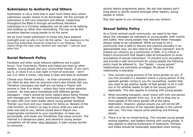#### **Submission to Authority and Others**

Submission is not a word that is used much these days where submission usually means to be dominated. Yet the principle of submission is still very important and biblical. Leadership throughout the Bible is through servanthood, therefore submission to a Christian leadership can be seen to be edifying and building up rather than dominating. The way we do this ourselves teaches young people to do the same.

We all must model submission to those who have pastoral oversight over us who in turn do the same. <sup>f</sup> Our obedience to the Governing Authorities should be evidenced in our lifestyles. This means things like road rules, taxation and copyright. <sup>9</sup> Lets put each other first. h

#### **Social Network Policy**

Facebook and other social network platforms are a public forum. Your Comments, Photos and Videos are seen by other leaders, young people and your unchurched friends. If you can't say it, or show it on a club night in front of everyone – don't say it or show it online. Lets keep it clean and lead by example!

Choose your friends carefully – as their comments and photos can often be also seen by everyone who's also friends with you. Therefore volunteers and staff are not being a 'friend' with anyone in Year 8 or below – unless they have written parental consent. Be wise about friendships with different gender teenagers – male's should be extra vigilant about being 'friends' with teenage girls. We would recommend against this. Please be open with your team leader about young people facebook 'friends' you have and your reasons for doing so. Beware of the chat function, as there's no way to prove what you said and what was said to you, behind closed doors! Report any inappropriate comments to your coordinator, to keep you accountable, and break any friendships that cause concern. The internet is a dangerous place, and parent/or young person complaints will be taken Very Seriously! A stain causes tarnish to everyone...

alcohol before programme starts. We ask that leaders don't brag about or glorify alcohol amongst other leaders, young people or online.

May God speak to you strongly and give you wisdom.

#### **Sexual Safety Policy**

As a Christ centred youth community, we need to be clear about the messages we represent to young people, both overtly and subtly. How young people may interpret these messages always needs to be considered. While we hope to be a community that is able to discuss and express sexuality in an approachable way, we also need to be "above reproach" and to protect our vibrancy as a community of faith. It is critical in today's environment that leaders take all precautions to avoid accusations of sexual misconduct. To prevent such accusations and provide a safe environment for young people the following policy must be adhered to. Our "leader – young person" relationships are extremely privileged. No abuse of this relationship is tolerated.

- 1. Only counsel young persons of the same gender as you. If you find yourself in a situation where a young person of the opposite gender comes to you for counselling, explain that you need to get another leader of that gender to sit in with you or for another leader to talk to the young person separately. This also applies to praying with young people.
- 2. When providing transport, never travel with only one person of the opposite gender from you. It is OK to drop two or more people of the same gender off at the same destination. However, always ensure you will not be left with only one person of the opposite gender in the vehicle with you. This may require some planning and thinking ahead.
- 3. There is to be no mixed tenting. This includes young people tenting together, and leaders tenting with young people. It also applies to sharing bunkrooms or bedrooms. Females and males should be reasonably separated when tenting.